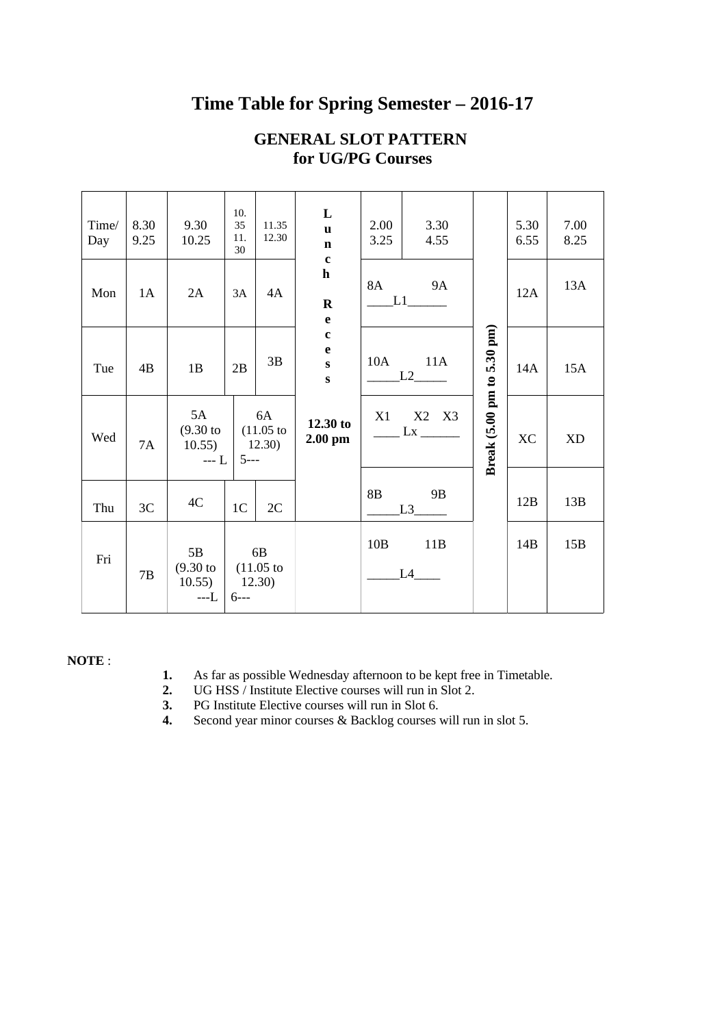### Time Table for Spring Semester – 2016-17

| Time/<br>Day | 8.30<br>9.25 | 9.30<br>10.25                                                       | 10.<br>35<br>11.<br>30 | 11.35<br>12.30 | L<br>$\mathbf{u}$<br>$\mathbf n$                 | 2.00<br>3.25                         | 3.30<br>4.55 |                   | 5.30<br>6.55 | 7.00<br>8.25 |
|--------------|--------------|---------------------------------------------------------------------|------------------------|----------------|--------------------------------------------------|--------------------------------------|--------------|-------------------|--------------|--------------|
| Mon          | 1A           | 2A                                                                  | 3A                     | 4A             | $\mathbf{C}$<br>$\mathbf h$<br>$\mathbf R$<br>e  | 8A<br><b>9A</b><br>L1                |              |                   | 12A          | 13A          |
| Tue          | 4B           | 1B                                                                  | 2B                     | 3B             | $\mathbf c$<br>e<br>$\mathbf{s}$<br>$\mathbf{s}$ | 10A<br>11A<br>L2                     |              | 5.30 pm)          | 14A          | 15A          |
| Wed          | 7A           | 5A<br>$(9.30 \text{ to } (11.05 \text{ to }$<br>$10.55$   12.30)    | $-L$ 5---              | 6A             | 12.30 to<br>$2.00$ pm                            | X2 X3<br>X1                          |              | Break (5.00 pm to | <b>XC</b>    | <b>XD</b>    |
| Thu          | 3C           | 4C                                                                  | 1 <sub>C</sub>         | 2C             |                                                  | 8B<br>9B<br>$L3$ <sub>________</sub> |              |                   | 12B          | 13B          |
| Fri          | 7B           | 5B<br>$(9.30 \text{ to } (11.05 \text{ to }$<br>$10.55$ )<br>$---L$ | 12.30)<br>$6--$        | 6B             |                                                  | 10B<br>11B<br>L4                     |              |                   | 14B          | 15B          |

#### GENERAL SLOT PATTERN for UG/PG Courses

#### NOTE :

- 1. As far as possible Wednesday afternoon to be kept free in Timetable.<br>2. UG HSS / Institute Elective courses will run in Slot 2.
- 2. UG HSS / Institute Elective courses will run in Slot 2.
- 3. PG Institute Elective courses will run in Slot 6.
- 4. Second year minor courses & Backlog courses will run in slot 5.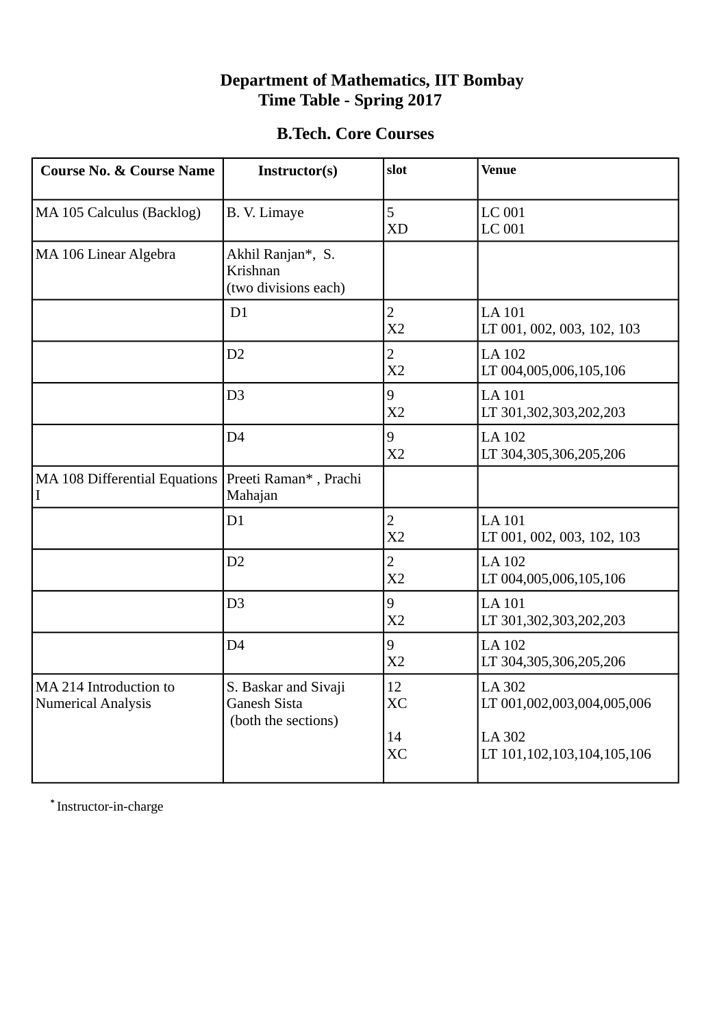#### **Department of Mathematics, IIT Bombay Time Table - Spring 2017**

#### **B.Tech. Core Courses**

| <b>Course No. &amp; Course Name</b>                 | Instructor(s)                                                      | slot                             | <b>Venue</b>                                          |
|-----------------------------------------------------|--------------------------------------------------------------------|----------------------------------|-------------------------------------------------------|
| MA 105 Calculus (Backlog)                           | B. V. Limaye                                                       | 5<br><b>XD</b>                   | <b>LC 001</b><br><b>LC 001</b>                        |
| MA 106 Linear Algebra                               | Akhil Ranjan*, S.<br>Krishnan<br>(two divisions each)              |                                  |                                                       |
|                                                     | D1                                                                 | $\overline{2}$<br>X <sub>2</sub> | <b>LA101</b><br>LT 001, 002, 003, 102, 103            |
|                                                     | D <sub>2</sub>                                                     | $\overline{2}$<br>X <sub>2</sub> | <b>LA 102</b><br>LT 004,005,006,105,106               |
|                                                     | D <sub>3</sub>                                                     | 9<br>X <sub>2</sub>              | <b>LA 101</b><br>LT 301,302,303,202,203               |
|                                                     | D <sub>4</sub>                                                     | 9<br>X <sub>2</sub>              | <b>LA 102</b><br>LT 304,305,306,205,206               |
| MA 108 Differential Equations<br>I                  | Preeti Raman*, Prachi<br>Mahajan                                   |                                  |                                                       |
|                                                     | D1                                                                 | $\overline{2}$<br>X <sub>2</sub> | <b>LA101</b><br>LT 001, 002, 003, 102, 103            |
|                                                     | D2                                                                 | $\overline{2}$<br>X <sub>2</sub> | <b>LA 102</b><br>LT 004,005,006,105,106               |
|                                                     | D <sub>3</sub>                                                     | 9<br>X <sub>2</sub>              | <b>LA101</b><br>LT 301,302,303,202,203                |
|                                                     | D <sub>4</sub>                                                     | 9<br>X <sub>2</sub>              | <b>LA 102</b><br>LT 304,305,306,205,206               |
| MA 214 Introduction to<br><b>Numerical Analysis</b> | S. Baskar and Sivaji<br><b>Ganesh Sista</b><br>(both the sections) | 12<br><b>XC</b><br>14            | <b>LA 302</b><br>LT 001,002,003,004,005,006<br>LA 302 |
|                                                     |                                                                    | <b>XC</b>                        | LT 101,102,103,104,105,106                            |

 **\*** Instructor-in-charge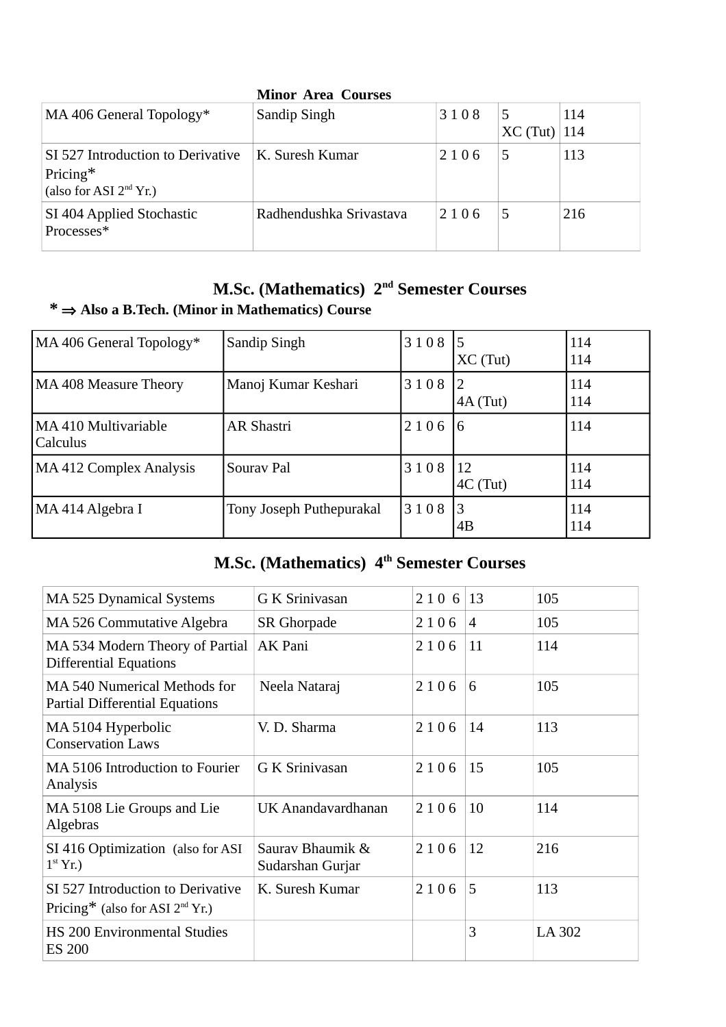| <b>Minor Area Courses</b>                                                 |                         |      |                 |             |  |  |  |
|---------------------------------------------------------------------------|-------------------------|------|-----------------|-------------|--|--|--|
| MA 406 General Topology*                                                  | Sandip Singh            | 3108 | 5<br>$XC$ (Tut) | 114<br> 114 |  |  |  |
| SI 527 Introduction to Derivative<br>Pricing*<br>(also for ASI $2nd$ Yr.) | K. Suresh Kumar         | 2106 | 5               | 113         |  |  |  |
| SI 404 Applied Stochastic<br>Processes*                                   | Radhendushka Srivastava | 2106 | 5               | 216         |  |  |  |

### **M.Sc. (Mathematics) 2nd Semester Courses**

### **\* Also a B.Tech. (Minor in Mathematics) Course**

| MA 406 General Topology*         | Sandip Singh             | 3108 | $\overline{5}$<br>$XC$ (Tut) | 114<br>114 |
|----------------------------------|--------------------------|------|------------------------------|------------|
| MA 408 Measure Theory            | Manoj Kumar Keshari      | 3108 | 12<br>$4A$ (Tut)             | 114<br>114 |
| MA 410 Multivariable<br>Calculus | <b>AR Shastri</b>        | 2106 | 16                           | 114        |
| MA 412 Complex Analysis          | Sourav Pal               | 3108 | 12<br>$4C$ (Tut)             | 114<br>114 |
| MA 414 Algebra I                 | Tony Joseph Puthepurakal | 3108 | l3<br>4B                     | 114<br>114 |

# **M.Sc. (Mathematics) 4th Semester Courses**

| <b>MA 525 Dynamical Systems</b>                                        | <b>G K Srinivasan</b>                | 2106 | 13             | 105    |
|------------------------------------------------------------------------|--------------------------------------|------|----------------|--------|
| MA 526 Commutative Algebra                                             | <b>SR Ghorpade</b>                   | 2106 | $\overline{4}$ | 105    |
| MA 534 Modern Theory of Partial<br><b>Differential Equations</b>       | AK Pani                              | 2106 | 11             | 114    |
| MA 540 Numerical Methods for<br><b>Partial Differential Equations</b>  | Neela Nataraj                        | 2106 | 6              | 105    |
| MA 5104 Hyperbolic<br><b>Conservation Laws</b>                         | V. D. Sharma                         | 2106 | 14             | 113    |
| MA 5106 Introduction to Fourier<br>Analysis                            | G K Srinivasan                       | 2106 | 15             | 105    |
| MA 5108 Lie Groups and Lie<br>Algebras                                 | UK Anandavardhanan                   | 2106 | 10             | 114    |
| SI 416 Optimization (also for ASI)<br>$1st$ Yr.)                       | Sauray Bhaumik &<br>Sudarshan Gurjar | 2106 | 12             | 216    |
| SI 527 Introduction to Derivative<br>Pricing* (also for ASI $2nd$ Yr.) | K. Suresh Kumar                      | 2106 | 5              | 113    |
| <b>HS</b> 200 Environmental Studies<br><b>ES 200</b>                   |                                      |      | 3              | LA 302 |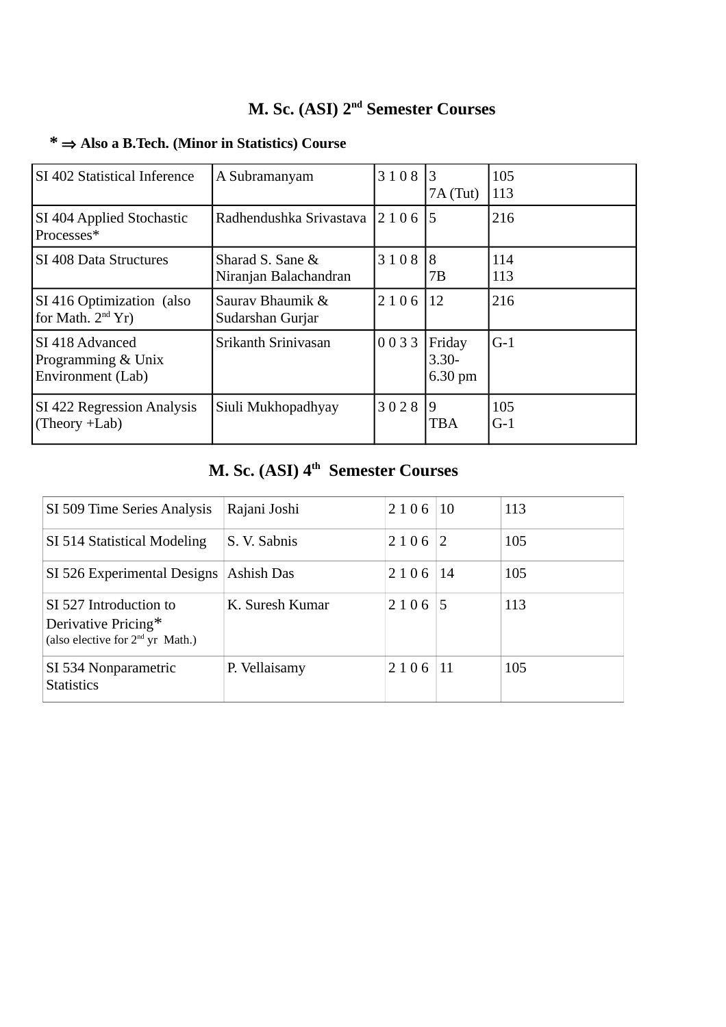# **M. Sc. (ASI) 2nd Semester Courses**

| SI 402 Statistical Inference                                | A Subramanyam                             | 3108    | 3<br>7A(Tut)                    | 105<br>113   |
|-------------------------------------------------------------|-------------------------------------------|---------|---------------------------------|--------------|
| <b>SI 404 Applied Stochastic</b><br>Processes*              | Radhendushka Srivastava                   | 2 1 0 6 | 5                               | 216          |
| SI 408 Data Structures                                      | Sharad S. Sane &<br>Niranjan Balachandran | 3108    | 8<br>7В                         | 114<br>113   |
| SI 416 Optimization (also<br>for Math. $2nd Yr$ )           | Sauray Bhaumik &<br>Sudarshan Gurjar      | 2106    | 12                              | 216          |
| ISI 418 Advanced<br>Programming & Unix<br>Environment (Lab) | Srikanth Sriniyasan                       | 0033    | Friday<br>$3.30 -$<br>$6.30$ pm | $G-1$        |
| <b>SI 422 Regression Analysis</b><br>$(Theory + Lab)$       | Siuli Mukhopadhyay                        | 3028    | 9<br><b>TBA</b>                 | 105<br>$G-1$ |

### **\* Also a B.Tech. (Minor in Statistics) Course**

## **M. Sc. (ASI) 4th Semester Courses**

| SI 509 Time Series Analysis                                                         | Rajani Joshi    | 2106 | 10 | 113 |
|-------------------------------------------------------------------------------------|-----------------|------|----|-----|
| SI 514 Statistical Modeling                                                         | S. V. Sabnis    | 2106 | 2  | 105 |
| SI 526 Experimental Designs                                                         | Ashish Das      | 2106 | 14 | 105 |
| SI 527 Introduction to<br>Derivative Pricing*<br>(also elective for $2nd$ yr Math.) | K. Suresh Kumar | 2106 | 5  | 113 |
| SI 534 Nonparametric<br><b>Statistics</b>                                           | P. Vellaisamy   | 2106 | 11 | 105 |